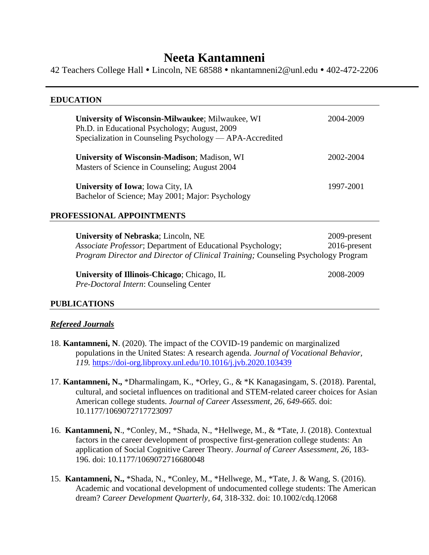# **Neeta Kantamneni**

42 Teachers College Hall • Lincoln, NE 68588 • nkantamneni2@unl.edu • 402-472-2206

#### **EDUCATION**

| <b>University of Wisconsin-Milwaukee</b> ; Milwaukee, WI<br>Ph.D. in Educational Psychology; August, 2009<br>Specialization in Counseling Psychology — APA-Accredited | 2004-2009 |
|-----------------------------------------------------------------------------------------------------------------------------------------------------------------------|-----------|
| <b>University of Wisconsin-Madison</b> ; Madison, WI<br>Masters of Science in Counseling; August 2004                                                                 | 2002-2004 |
| <b>University of Iowa</b> ; Iowa City, IA<br>Bachelor of Science; May 2001; Major: Psychology                                                                         | 1997-2001 |

## **PROFESSIONAL APPOINTMENTS**

| <b>University of Nebraska; Lincoln, NE</b>                                               | 2009-present |
|------------------------------------------------------------------------------------------|--------------|
| <i>Associate Professor</i> ; Department of Educational Psychology;                       | 2016-present |
| <i>Program Director and Director of Clinical Training; Counseling Psychology Program</i> |              |
| University of Illinois-Chicago; Chicago, IL                                              | 2008-2009    |
| <i>Pre-Doctoral Intern:</i> Counseling Center                                            |              |

## **PUBLICATIONS**

#### *Refereed Journals*

- 18. **Kantamneni, N**. (2020). The impact of the COVID-19 pandemic on marginalized populations in the United States: A research agenda. *Journal of Vocational Behavior, 119.* <https://doi-org.libproxy.unl.edu/10.1016/j.jvb.2020.103439>
- 17. **Kantamneni, N.,** \*Dharmalingam, K., \*Orley, G., & \*K Kanagasingam, S. (2018). Parental, cultural, and societal influences on traditional and STEM-related career choices for Asian American college students. *Journal of Career Assessment, 26, 649-665.* doi: [10.1177/1069072717723097](http://dx.doi.org.libproxy.unl.edu/10.1177/1069072717723097)
- 16. **Kantamneni, N**., \*Conley, M., \*Shada, N., \*Hellwege, M., & \*Tate, J. (2018). Contextual factors in the career development of prospective first-generation college students: An application of Social Cognitive Career Theory. *Journal of Career Assessment, 26,* 183- 196. doi: 10.1177/1069072716680048
- 15. **Kantamneni, N.,** \*Shada, N., \*Conley, M., \*Hellwege, M., \*Tate, J. & Wang, S. (2016). Academic and vocational development of undocumented college students: The American dream? *Career Development Quarterly, 64,* 318-332. doi: 10.1002/cdq.12068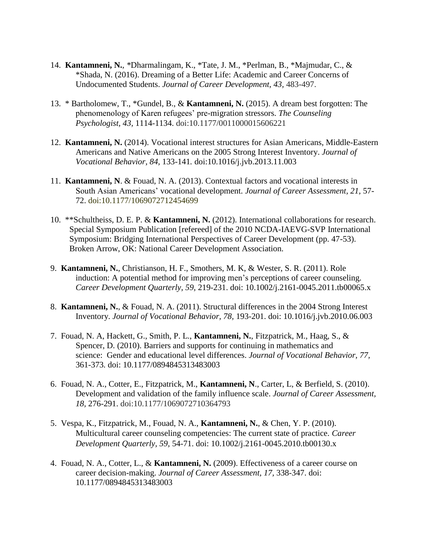- 14. **Kantamneni, N.***, \**Dharmalingam, K., \*Tate, J. M., \*Perlman, B., \*Majmudar, C., & \*Shada, N. (2016). Dreaming of a Better Life: Academic and Career Concerns of Undocumented Students. *Journal of Career Development, 43,* 483-497.
- 13. \* Bartholomew, T., \*Gundel, B., & **Kantamneni, N.** (2015). A dream best forgotten: The phenomenology of Karen refugees' pre-migration stressors. *The Counseling Psychologist, 43,* 1114-1134. doi:10.1177/0011000015606221
- 12. **Kantamneni, N.** (2014). Vocational interest structures for Asian Americans, Middle-Eastern Americans and Native Americans on the 2005 Strong Interest Inventory. *Journal of Vocational Behavior, 84,* 133-141*.* doi:10.1016/j.jvb.2013.11.003
- 11. **Kantamneni, N**. & Fouad, N. A. (2013). Contextual factors and vocational interests in South Asian Americans' vocational development. *Journal of Career Assessment, 21,* 57- 72. doi:10.1177/1069072712454699
- 10. \*\*Schultheiss, D. E. P. & **Kantamneni, N.** (2012). International collaborations for research. Special Symposium Publication [refereed] of the 2010 NCDA-IAEVG-SVP International Symposium: Bridging International Perspectives of Career Development (pp. 47-53). Broken Arrow, OK: National Career Development Association.
- 9. **Kantamneni, N.**, Christianson, H. F., Smothers, M. K, & Wester, S. R. (2011). Role induction: A potential method for improving men's perceptions of career counseling. *Career Development Quarterly, 59,* 219-231. doi: 10.1002/j.2161-0045.2011.tb00065.x
- 8. **Kantamneni, N.**, & Fouad, N. A. (2011). Structural differences in the 2004 Strong Interest Inventory. *Journal of Vocational Behavior, 78,* 193-201. doi: 10.1016/j.jvb.2010.06.003
- 7. Fouad, N. A, Hackett, G., Smith, P. L., **Kantamneni, N.**, Fitzpatrick, M., Haag, S., & Spencer, D. (2010). Barriers and supports for continuing in mathematics and science: Gender and educational level differences. *Journal of Vocational Behavior, 77,*  361-373*.* doi: 10.1177/0894845313483003
- 6. Fouad, N. A., Cotter, E., Fitzpatrick, M., **Kantamneni, N**., Carter, L, & Berfield, S. (2010). Development and validation of the family influence scale. *Journal of Career Assessment, 18,* 276-291. doi:10.1177/1069072710364793
- 5. Vespa, K., Fitzpatrick, M., Fouad, N. A., **Kantamneni, N.**, & Chen, Y. P. (2010). Multicultural career counseling competencies: The current state of practice. *Career Development Quarterly, 59,* 54-71. doi: 10.1002/j.2161-0045.2010.tb00130.x
- 4. Fouad, N. A., Cotter, L., & **Kantamneni, N.** (2009). Effectiveness of a career course on career decision-making. *Journal of Career Assessment, 17,* 338-347. doi: 10.1177/0894845313483003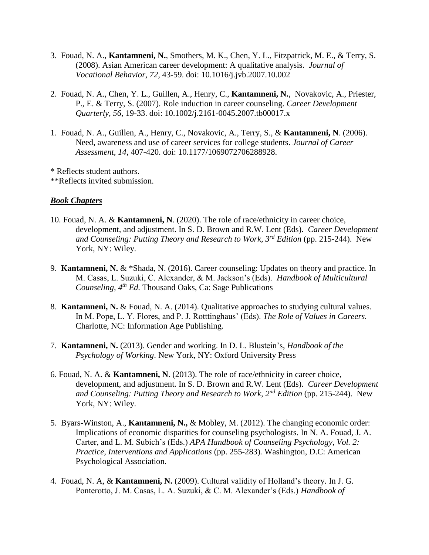- 3. Fouad, N. A., **Kantamneni, N.**, Smothers, M. K., Chen, Y. L., Fitzpatrick, M. E., & Terry, S. (2008). Asian American career development: A qualitative analysis. *Journal of Vocational Behavior, 72,* 43-59. doi: 10.1016/j.jvb.2007.10.002
- 2. Fouad, N. A., Chen, Y. L., Guillen, A., Henry, C., **Kantamneni, N.**, Novakovic, A., Priester, P., E. & Terry, S. (2007). Role induction in career counseling. *Career Development Quarterly, 56*, 19-33. doi: 10.1002/j.2161-0045.2007.tb00017.x
- 1. Fouad, N. A., Guillen, A., Henry, C., Novakovic, A., Terry, S., & **Kantamneni, N**. (2006). Need, awareness and use of career services for college students. *Journal of Career Assessment, 14*, 407-420. doi: 10.1177/1069072706288928.

\* Reflects student authors.

\*\*Reflects invited submission.

## *Book Chapters*

- 10. Fouad, N. A. & **Kantamneni, N**. (2020). The role of race/ethnicity in career choice, development, and adjustment. In S. D. Brown and R.W. Lent (Eds). *Career Development and Counseling: Putting Theory and Research to Work, 3rd Edition* (pp. 215-244). New York, NY: Wiley.
- 9. **Kantamneni, N.** & \*Shada, N. (2016). Career counseling: Updates on theory and practice. In M. Casas, L. Suzuki, C. Alexander, & M. Jackson's (Eds). *Handbook of Multicultural Counseling, 4th Ed.* Thousand Oaks, Ca: Sage Publications
- 8. **Kantamneni, N.** & Fouad, N. A. (2014). Qualitative approaches to studying cultural values. In M. Pope, L. Y. Flores, and P. J. Rotttinghaus' (Eds). *The Role of Values in Careers.*  Charlotte, NC: Information Age Publishing.
- 7. **Kantamneni, N.** (2013). Gender and working. In D. L. Blustein's, *Handbook of the Psychology of Working*. New York, NY: Oxford University Press
- 6. Fouad, N. A. & **Kantamneni, N**. (2013). The role of race/ethnicity in career choice, development, and adjustment. In S. D. Brown and R.W. Lent (Eds). *Career Development and Counseling: Putting Theory and Research to Work, 2nd Edition* (pp. 215-244). New York, NY: Wiley.
- 5. Byars-Winston, A., **Kantamneni, N.,** & Mobley, M. (2012). The changing economic order: Implications of economic disparities for counseling psychologists. In N. A. Fouad, J. A. Carter, and L. M. Subich's (Eds.) *APA Handbook of Counseling Psychology, Vol. 2: Practice, Interventions and Applications* (pp. 255-283)*.* Washington, D.C: American Psychological Association.
- 4. Fouad, N. A, & **Kantamneni, N.** (2009). Cultural validity of Holland's theory. In J. G. Ponterotto, J. M. Casas, L. A. Suzuki, & C. M. Alexander's (Eds.) *Handbook of*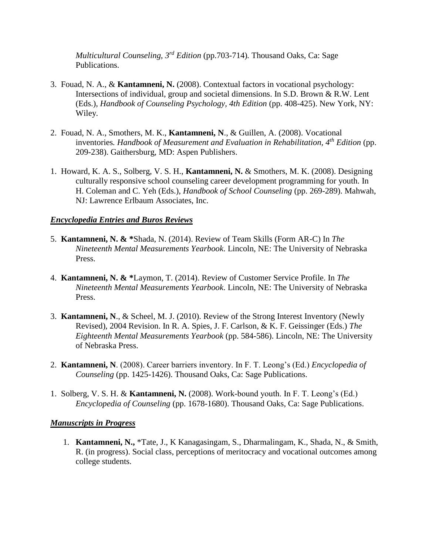*Multicultural Counseling, 3rd Edition* (pp.703-714)*.* Thousand Oaks, Ca: Sage Publications.

- 3. Fouad, N. A., & **Kantamneni, N.** (2008). Contextual factors in vocational psychology: Intersections of individual, group and societal dimensions. In S.D. Brown & R.W. Lent (Eds.), *Handbook of Counseling Psychology, 4th Edition* (pp. 408-425). New York, NY: Wiley.
- 2. Fouad, N. A., Smothers, M. K., **Kantamneni, N**., & Guillen, A. (2008). Vocational inventories*. Handbook of Measurement and Evaluation in Rehabilitation, 4th Edition* (pp. 209-238). Gaithersburg, MD: Aspen Publishers.
- 1. Howard, K. A. S., Solberg, V. S. H., **Kantamneni, N.** & Smothers, M. K. (2008). Designing culturally responsive school counseling career development programming for youth. In H. Coleman and C. Yeh (Eds.), *Handbook of School Counseling* (pp. 269-289). Mahwah, NJ: Lawrence Erlbaum Associates, Inc.

## *Encyclopedia Entries and Buros Reviews*

- 5. **Kantamneni, N. & \***Shada, N. (2014). Review of Team Skills (Form AR-C) In *The Nineteenth Mental Measurements Yearbook*. Lincoln, NE: The University of Nebraska Press.
- 4. **Kantamneni, N. & \***Laymon, T. (2014). Review of Customer Service Profile. In *The Nineteenth Mental Measurements Yearbook*. Lincoln, NE: The University of Nebraska Press.
- 3. **Kantamneni, N**., & Scheel, M. J. (2010). Review of the Strong Interest Inventory (Newly Revised), 2004 Revision. In R. A. Spies, J. F. Carlson, & K. F. Geissinger (Eds.) *The Eighteenth Mental Measurements Yearbook* (pp. 584-586). Lincoln, NE: The University of Nebraska Press.
- 2. **Kantamneni, N**. (2008). Career barriers inventory. In F. T. Leong's (Ed.) *Encyclopedia of Counseling* (pp. 1425-1426). Thousand Oaks, Ca: Sage Publications.
- 1. Solberg, V. S. H. & **Kantamneni, N.** (2008). Work-bound youth. In F. T. Leong's (Ed.) *Encyclopedia of Counseling* (pp. 1678-1680). Thousand Oaks, Ca: Sage Publications.

## *Manuscripts in Progress*

1. **Kantamneni, N.,** \*Tate, J., K Kanagasingam, S., Dharmalingam, K., Shada, N., & Smith, R. (in progress). Social class, perceptions of meritocracy and vocational outcomes among college students.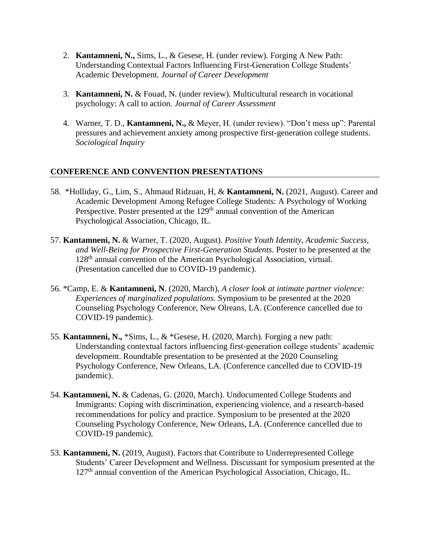- 2. **Kantamneni, N.,** Sims, L., & Gesese, H. (under review). Forging A New Path: Understanding Contextual Factors Influencing First-Generation College Students' Academic Development. *Journal of Career Development*
- 3. **Kantamneni, N.** & Fouad, N. (under review). Multicultural research in vocational psychology: A call to action. *Journal of Career Assessment*
- 4. Warner, T. D., **Kantamneni, N.,** & Meyer, H. (under review). "Don't mess up": Parental pressures and achievement anxiety among prospective first-generation college students. *Sociological Inquiry*

## **CONFERENCE AND CONVENTION PRESENTATIONS**

- 58. \*Holliday, G., Lim, S., Ahmaud Ridzuan, H, & **Kantamneni, N.** (2021, August). Career and Academic Development Among Refugee College Students: A Psychology of Working Perspective. Poster presented at the 129<sup>th</sup> annual convention of the American Psychological Association, Chicago, IL.
- 57. **Kantamneni, N.** & Warner, T. (2020, August). *Positive Youth Identity, Academic Success, and Well-Being for Prospective First-Generation Students.* Poster to be presented at the 128<sup>th</sup> annual convention of the American Psychological Association, virtual. (Presentation cancelled due to COVID-19 pandemic).
- 56. \*Camp, E. & **Kantamneni, N**. (2020, March), *A closer look at intimate partner violence: Experiences of marginalized populations.* Symposium to be presented at the 2020 Counseling Psychology Conference, New Olreans, LA. (Conference cancelled due to COVID-19 pandemic).
- 55. **Kantamneni, N.,** \*Sims, L., & \*Gesese, H. (2020, March). Forging a new path: Understanding contextual factors influencing first-generation college students' academic development. Roundtable presentation to be presented at the 2020 Counseling Psychology Conference, New Orleans, LA. (Conference cancelled due to COVID-19 pandemic).
- 54. **Kantamneni, N.** & Cadenas, G. (2020, March). Undocumented College Students and Immigrants: Coping with discrimination, experiencing violence, and a research-based recommendations for policy and practice. Symposium to be presented at the 2020 Counseling Psychology Conference, New Orleans, LA. (Conference cancelled due to COVID-19 pandemic).
- 53. **Kantamneni, N.** (2019, August). Factors that Contribute to Underrepresented College Students' Career Development and Wellness. Discussant for symposium presented at the  $127<sup>th</sup>$  annual convention of the American Psychological Association, Chicago, IL.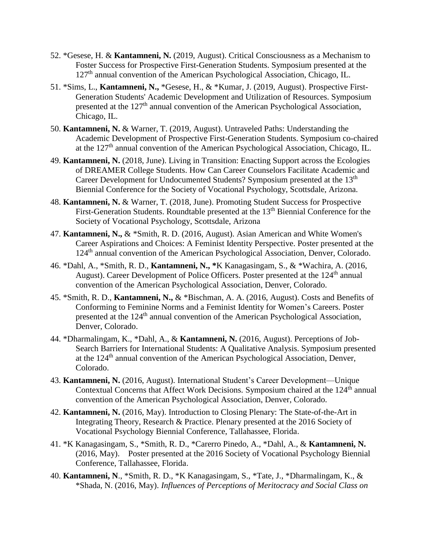- 52. \*Gesese, H. & **Kantamneni, N.** (2019, August). Critical Consciousness as a Mechanism to Foster Success for Prospective First-Generation Students. Symposium presented at the 127<sup>th</sup> annual convention of the American Psychological Association, Chicago, IL.
- 51. \*Sims, L., **Kantamneni, N.,** \*Gesese, H., & \*Kumar, J. (2019, August). Prospective First-Generation Students' Academic Development and Utilization of Resources. Symposium presented at the 127<sup>th</sup> annual convention of the American Psychological Association, Chicago, IL.
- 50. **Kantamneni, N.** & Warner, T. (2019, August). Untraveled Paths: Understanding the Academic Development of Prospective First-Generation Students. Symposium co-chaired at the 127<sup>th</sup> annual convention of the American Psychological Association, Chicago, IL.
- 49. **Kantamneni, N.** (2018, June). Living in Transition: Enacting Support across the Ecologies of DREAMER College Students. How Can Career Counselors Facilitate Academic and Career Development for Undocumented Students? Symposium presented at the 13th Biennial Conference for the Society of Vocational Psychology, Scottsdale, Arizona.
- 48. **Kantamneni, N.** & Warner, T. (2018, June). Promoting Student Success for Prospective First-Generation Students. Roundtable presented at the 13<sup>th</sup> Biennial Conference for the Society of Vocational Psychology, Scottsdale, Arizona
- 47. **Kantamneni, N.,** & \*Smith, R. D. (2016, August). Asian American and White Women's Career Aspirations and Choices: A Feminist Identity Perspective. Poster presented at the 124th annual convention of the American Psychological Association, Denver, Colorado.
- 46. \*Dahl, A., \*Smith, R. D., **Kantamneni, N., \***K Kanagasingam, S., & \*Wachira, A. (2016, August). Career Development of Police Officers. Poster presented at the 124<sup>th</sup> annual convention of the American Psychological Association, Denver, Colorado.
- 45. \*Smith, R. D., **Kantamneni, N.,** & \*Bischman, A. A. (2016, August). Costs and Benefits of Conforming to Feminine Norms and a Feminist Identity for Women's Careers. Poster presented at the 124<sup>th</sup> annual convention of the American Psychological Association, Denver, Colorado.
- 44. \*Dharmalingam, K., \*Dahl, A., & **Kantamneni, N.** (2016, August). Perceptions of Job-Search Barriers for International Students: A Qualitative Analysis. Symposium presented at the 124<sup>th</sup> annual convention of the American Psychological Association, Denver, Colorado.
- 43. **Kantamneni, N.** (2016, August). International Student's Career Development—Unique Contextual Concerns that Affect Work Decisions. Symposium chaired at the  $124<sup>th</sup>$  annual convention of the American Psychological Association, Denver, Colorado.
- 42. **Kantamneni, N.** (2016, May). Introduction to Closing Plenary: The State-of-the-Art in Integrating Theory, Research & Practice. Plenary presented at the 2016 Society of Vocational Psychology Biennial Conference, Tallahassee, Florida.
- 41. \*K Kanagasingam, S., \*Smith, R. D., \*Carerro Pinedo, A., \*Dahl, A., & **Kantamneni, N.** (2016, May). Poster presented at the 2016 Society of Vocational Psychology Biennial Conference, Tallahassee, Florida.
- 40. **Kantamneni, N**., \*Smith, R. D., \*K Kanagasingam, S., \*Tate, J., \*Dharmalingam, K., & \*Shada, N. (2016, May). *Influences of Perceptions of Meritocracy and Social Class on*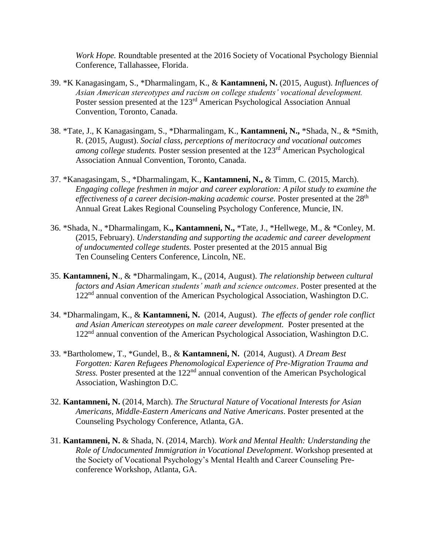*Work Hope.* Roundtable presented at the 2016 Society of Vocational Psychology Biennial Conference, Tallahassee, Florida.

- 39. \*K Kanagasingam, S., \*Dharmalingam, K., & **Kantamneni, N.** (2015, August). *Influences of Asian American stereotypes and racism on college students' vocational development.*  Poster session presented at the 123<sup>rd</sup> American Psychological Association Annual Convention, Toronto, Canada.
- 38. \*Tate, J., K Kanagasingam, S., \*Dharmalingam, K., **Kantamneni, N.,** \*Shada, N., & \*Smith, R. (2015, August). *Social class, perceptions of meritocracy and vocational outcomes among college students.* Poster session presented at the 123<sup>rd</sup> American Psychological Association Annual Convention, Toronto, Canada.
- 37. \*Kanagasingam, S., \*Dharmalingam, K., **Kantamneni, N.,** & Timm, C. (2015, March). *Engaging college freshmen in major and career exploration: A pilot study to examine the effectiveness of a career decision-making academic course.* Poster presented at the 28<sup>th</sup> Annual Great Lakes Regional Counseling Psychology Conference, Muncie, IN.
- 36. \*Shada, N., \*Dharmalingam, K**., Kantamneni, N.,** \*Tate, J., \*Hellwege, M., & \*Conley, M. (2015, February). *Understanding and supporting the academic and career development of undocumented college students.* Poster presented at the 2015 annual Big Ten Counseling Centers Conference, Lincoln, NE.
- 35. **Kantamneni, N**., & \*Dharmalingam, K., (2014, August). *The relationship between cultural factors and Asian American students' math and science outcomes*. Poster presented at the 122nd annual convention of the American Psychological Association, Washington D.C.
- 34. \*Dharmalingam, K., & **Kantamneni, N.** (2014, August). *The effects of gender role conflict and Asian American stereotypes on male career development.* Poster presented at the 122nd annual convention of the American Psychological Association, Washington D.C.
- 33. \*Bartholomew, T., \*Gundel, B., & **Kantamneni, N.** (2014, August). *A Dream Best Forgotten: Karen Refugees Phenomological Experience of Pre-Migration Trauma and Stress.* Poster presented at the 122<sup>nd</sup> annual convention of the American Psychological Association, Washington D.C.
- 32. **Kantamneni, N.** (2014, March). *The Structural Nature of Vocational Interests for Asian Americans, Middle-Eastern Americans and Native Americans*. Poster presented at the Counseling Psychology Conference, Atlanta, GA.
- 31. **Kantamneni, N.** & Shada, N. (2014, March). *Work and Mental Health: Understanding the Role of Undocumented Immigration in Vocational Development*. Workshop presented at the Society of Vocational Psychology's Mental Health and Career Counseling Preconference Workshop, Atlanta, GA.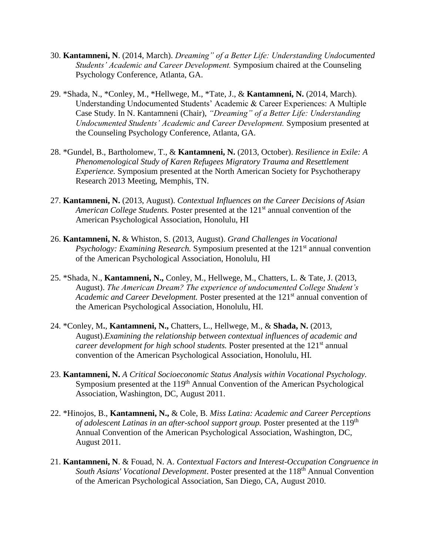- 30. **Kantamneni, N**. (2014, March). *Dreaming" of a Better Life: Understanding Undocumented Students' Academic and Career Development.* Symposium chaired at the Counseling Psychology Conference, Atlanta, GA.
- 29. \*Shada, N., \*Conley, M., \*Hellwege, M., \*Tate, J., & **Kantamneni, N.** (2014, March). Understanding Undocumented Students' Academic & Career Experiences: A Multiple Case Study. In N. Kantamneni (Chair), *"Dreaming" of a Better Life: Understanding Undocumented Students' Academic and Career Development.* Symposium presented at the Counseling Psychology Conference, Atlanta, GA.
- 28. \*Gundel, B., Bartholomew, T., & **Kantamneni, N.** (2013, October). *Resilience in Exile: A Phenomenological Study of Karen Refugees Migratory Trauma and Resettlement Experience.* Symposium presented at the North American Society for Psychotherapy Research 2013 Meeting, Memphis, TN.
- 27. **Kantamneni, N.** (2013, August). *Contextual Influences on the Career Decisions of Asian American College Students.* Poster presented at the 121<sup>st</sup> annual convention of the American Psychological Association, Honolulu, HI
- 26. **Kantamneni, N.** & Whiston, S. (2013, August). *Grand Challenges in Vocational Psychology: Examining Research.* Symposium presented at the 121<sup>st</sup> annual convention of the American Psychological Association, Honolulu, HI
- 25. \*Shada, N., **Kantamneni, N.,** Conley, M., Hellwege, M., Chatters, L. & Tate, J. (2013, August). *The American Dream? The experience of undocumented College Student's Academic and Career Development.* Poster presented at the 121<sup>st</sup> annual convention of the American Psychological Association, Honolulu, HI.
- 24. \*Conley, M**.**, **Kantamneni, N.,** Chatters, L., Hellwege, M., & **Shada, N.** (2013, August).*Examining the relationship between contextual influences of academic and career development for high school students.* Poster presented at the 121<sup>st</sup> annual convention of the American Psychological Association, Honolulu, HI.
- 23. **Kantamneni, N.** *A Critical Socioeconomic Status Analysis within Vocational Psychology.* Symposium presented at the 119<sup>th</sup> Annual Convention of the American Psychological Association, Washington, DC, August 2011.
- 22. \*Hinojos, B., **Kantamneni, N.,** & Cole, B. *Miss Latina: Academic and Career Perceptions of adolescent Latinas in an after-school support group.* Poster presented at the 119<sup>th</sup> Annual Convention of the American Psychological Association, Washington, DC, August 2011.
- 21. **Kantamneni, N**. & Fouad, N. A. *Contextual Factors and Interest-Occupation Congruence in*  South Asians' Vocational Development. Poster presented at the 118<sup>th</sup> Annual Convention of the American Psychological Association, San Diego, CA, August 2010.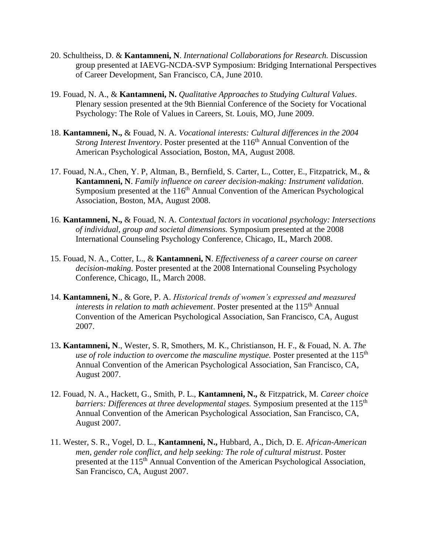- 20. Schultheiss, D. & **Kantamneni, N**. *International Collaborations for Research.* Discussion group presented at IAEVG-NCDA-SVP Symposium: Bridging International Perspectives of Career Development, San Francisco, CA, June 2010.
- 19. Fouad, N. A., & **Kantamneni, N.** *Qualitative Approaches to Studying Cultural Values*. Plenary session presented at the 9th Biennial Conference of the Society for Vocational Psychology: The Role of Values in Careers, St. Louis, MO, June 2009.
- 18. **Kantamneni, N.,** & Fouad, N. A. *Vocational interests: Cultural differences in the 2004 Strong Interest Inventory*. Poster presented at the 116<sup>th</sup> Annual Convention of the American Psychological Association, Boston, MA, August 2008.
- 17. Fouad, N.A., Chen, Y. P, Altman, B., Bernfield, S. Carter, L., Cotter, E., Fitzpatrick, M., & **Kantamneni, N**. *Family influence on career decision-making: Instrument validation.* Symposium presented at the  $116<sup>th</sup>$  Annual Convention of the American Psychological Association, Boston, MA, August 2008.
- 16. **Kantamneni, N.,** & Fouad, N. A. *Contextual factors in vocational psychology: Intersections of individual, group and societal dimensions.* Symposium presented at the 2008 International Counseling Psychology Conference, Chicago, IL, March 2008.
- 15. Fouad, N. A., Cotter, L., & **Kantamneni, N**. *Effectiveness of a career course on career decision-making.* Poster presented at the 2008 International Counseling Psychology Conference, Chicago, IL, March 2008.
- 14. **Kantamneni, N**., & Gore, P. A. *Historical trends of women's expressed and measured interests in relation to math achievement*. Poster presented at the 115<sup>th</sup> Annual Convention of the American Psychological Association, San Francisco, CA, August 2007.
- 13**. Kantamneni, N**., Wester, S. R, Smothers, M. K., Christianson, H. F., & Fouad, N. A. *The use of role induction to overcome the masculine mystique.* Poster presented at the 115th Annual Convention of the American Psychological Association, San Francisco, CA, August 2007.
- 12. Fouad, N. A., Hackett, G., Smith, P. L., **Kantamneni, N.,** & Fitzpatrick, M. *Career choice barriers: Differences at three developmental stages.* Symposium presented at the 115<sup>th</sup> Annual Convention of the American Psychological Association, San Francisco, CA, August 2007.
- 11. Wester, S. R., Vogel, D. L., **Kantamneni, N.,** Hubbard, A., Dich, D. E. *African-American men, gender role conflict, and help seeking: The role of cultural mistrust*. Poster presented at the 115<sup>th</sup> Annual Convention of the American Psychological Association, San Francisco, CA, August 2007.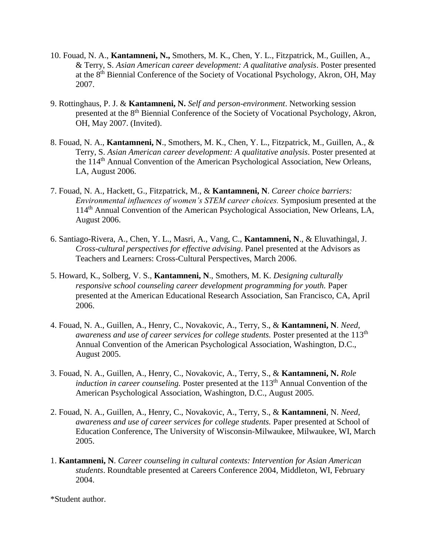- 10. Fouad, N. A., **Kantamneni, N.,** Smothers, M. K., Chen, Y. L., Fitzpatrick, M., Guillen, A., & Terry, S. *Asian American career development: A qualitative analysis*. Poster presented at the 8th Biennial Conference of the Society of Vocational Psychology, Akron, OH, May 2007.
- 9. Rottinghaus, P. J. & **Kantamneni, N.** *Self and person-environment*. Networking session presented at the 8<sup>th</sup> Biennial Conference of the Society of Vocational Psychology, Akron, OH, May 2007. (Invited).
- 8. Fouad, N. A., **Kantamneni, N**., Smothers, M. K., Chen, Y. L., Fitzpatrick, M., Guillen, A., & Terry, S. *Asian American career development: A qualitative analysis*. Poster presented at the 114th Annual Convention of the American Psychological Association, New Orleans, LA, August 2006.
- 7. Fouad, N. A., Hackett, G., Fitzpatrick, M., & **Kantamneni, N**. *Career choice barriers: Environmental influences of women's STEM career choices.* Symposium presented at the 114th Annual Convention of the American Psychological Association, New Orleans, LA, August 2006.
- 6. Santiago-Rivera, A., Chen, Y. L., Masri, A., Vang, C., **Kantamneni, N**., & Eluvathingal, J. *Cross-cultural perspectives for effective advising*. Panel presented at the Advisors as Teachers and Learners: Cross-Cultural Perspectives, March 2006.
- 5. Howard, K., Solberg, V. S., **Kantamneni, N**., Smothers, M. K. *Designing culturally responsive school counseling career development programming for youth.* Paper presented at the American Educational Research Association, San Francisco, CA, April 2006.
- 4. Fouad, N. A., Guillen, A., Henry, C., Novakovic, A., Terry, S., & **Kantamneni, N**. *Need, awareness and use of career services for college students.* Poster presented at the 113th Annual Convention of the American Psychological Association, Washington, D.C., August 2005.
- 3. Fouad, N. A., Guillen, A., Henry, C., Novakovic, A., Terry, S., & **Kantamneni, N.** *Role induction in career counseling.* Poster presented at the 113<sup>th</sup> Annual Convention of the American Psychological Association, Washington, D.C., August 2005.
- 2. Fouad, N. A., Guillen, A., Henry, C., Novakovic, A., Terry, S., & **Kantamneni**, N. *Need, awareness and use of career services for college students.* Paper presented at School of Education Conference, The University of Wisconsin-Milwaukee, Milwaukee, WI, March 2005.
- 1. **Kantamneni, N**. *Career counseling in cultural contexts: Intervention for Asian American students*. Roundtable presented at Careers Conference 2004, Middleton, WI, February 2004.

\*Student author.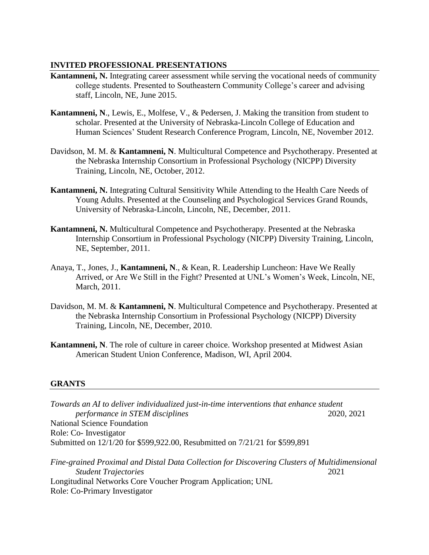## **INVITED PROFESSIONAL PRESENTATIONS**

- **Kantamneni, N.** Integrating career assessment while serving the vocational needs of community college students. Presented to Southeastern Community College's career and advising staff, Lincoln, NE, June 2015.
- **Kantamneni, N**., Lewis, E., Molfese, V., & Pedersen, J. Making the transition from student to scholar. Presented at the University of Nebraska-Lincoln College of Education and Human Sciences' Student Research Conference Program, Lincoln, NE, November 2012.
- Davidson, M. M. & **Kantamneni, N**. Multicultural Competence and Psychotherapy. Presented at the Nebraska Internship Consortium in Professional Psychology (NICPP) Diversity Training, Lincoln, NE, October, 2012.
- **Kantamneni, N.** Integrating Cultural Sensitivity While Attending to the Health Care Needs of Young Adults. Presented at the Counseling and Psychological Services Grand Rounds, University of Nebraska-Lincoln, Lincoln, NE, December, 2011.
- **Kantamneni, N.** Multicultural Competence and Psychotherapy. Presented at the Nebraska Internship Consortium in Professional Psychology (NICPP) Diversity Training, Lincoln, NE, September, 2011.
- Anaya, T., Jones, J., **Kantamneni, N**., & Kean, R. Leadership Luncheon: Have We Really Arrived, or Are We Still in the Fight? Presented at UNL's Women's Week, Lincoln, NE, March, 2011.
- Davidson, M. M. & **Kantamneni, N**. Multicultural Competence and Psychotherapy. Presented at the Nebraska Internship Consortium in Professional Psychology (NICPP) Diversity Training, Lincoln, NE, December, 2010.
- **Kantamneni, N**. The role of culture in career choice. Workshop presented at Midwest Asian American Student Union Conference, Madison, WI, April 2004.

## **GRANTS**

| Towards an AI to deliver individualized just-in-time interventions that enhance student       |            |
|-----------------------------------------------------------------------------------------------|------------|
| performance in STEM disciplines                                                               | 2020, 2021 |
| <b>National Science Foundation</b>                                                            |            |
| Role: Co-Investigator                                                                         |            |
| Submitted on 12/1/20 for \$599,922.00, Resubmitted on 7/21/21 for \$599,891                   |            |
| Fine-grained Proximal and Distal Data Collection for Discovering Clusters of Multidimensional |            |
| <b>Student Trajectories</b>                                                                   | 2021       |
| Longitudinal Networks Core Voucher Program Application; UNL                                   |            |
| Role: Co-Primary Investigator                                                                 |            |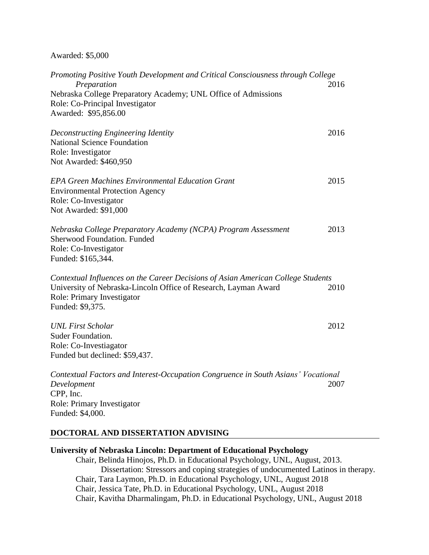#### Awarded: \$5,000

| Promoting Positive Youth Development and Critical Consciousness through College<br>Preparation    | 2016 |
|---------------------------------------------------------------------------------------------------|------|
| Nebraska College Preparatory Academy; UNL Office of Admissions<br>Role: Co-Principal Investigator |      |
| Awarded: \$95,856.00                                                                              |      |
| Deconstructing Engineering Identity<br><b>National Science Foundation</b>                         | 2016 |
| Role: Investigator                                                                                |      |
| Not Awarded: \$460,950                                                                            |      |
| <b>EPA Green Machines Environmental Education Grant</b>                                           | 2015 |
| <b>Environmental Protection Agency</b>                                                            |      |
| Role: Co-Investigator                                                                             |      |
| Not Awarded: \$91,000                                                                             |      |
| Nebraska College Preparatory Academy (NCPA) Program Assessment                                    | 2013 |
| Sherwood Foundation. Funded                                                                       |      |
| Role: Co-Investigator                                                                             |      |
| Funded: \$165,344.                                                                                |      |
| Contextual Influences on the Career Decisions of Asian American College Students                  |      |
| University of Nebraska-Lincoln Office of Research, Layman Award                                   | 2010 |
| Role: Primary Investigator                                                                        |      |
| Funded: \$9,375.                                                                                  |      |
| <b>UNL First Scholar</b>                                                                          | 2012 |
| Suder Foundation.                                                                                 |      |
| Role: Co-Investiagator                                                                            |      |
| Funded but declined: \$59,437.                                                                    |      |
| Contextual Factors and Interest-Occupation Congruence in South Asians' Vocational                 |      |
| Development                                                                                       | 2007 |
| CPP, Inc.                                                                                         |      |
| Role: Primary Investigator                                                                        |      |
| Funded: \$4,000.                                                                                  |      |

#### **DOCTORAL AND DISSERTATION ADVISING**

## **University of Nebraska Lincoln: Department of Educational Psychology**

Chair, Belinda Hinojos, Ph.D. in Educational Psychology, UNL, August, 2013. Dissertation: Stressors and coping strategies of undocumented Latinos in therapy. Chair, Tara Laymon, Ph.D. in Educational Psychology, UNL, August 2018 Chair, Jessica Tate, Ph.D. in Educational Psychology, UNL, August 2018 Chair, Kavitha Dharmalingam, Ph.D. in Educational Psychology, UNL, August 2018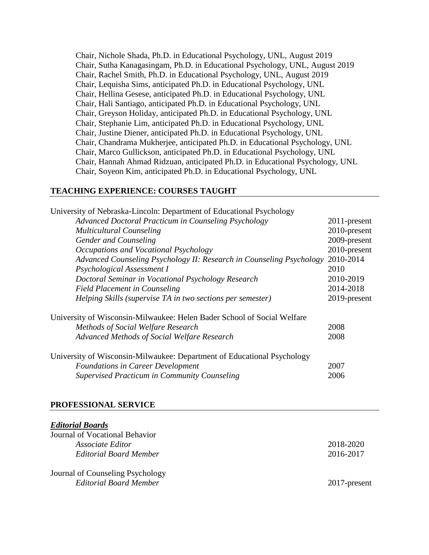Chair, Nichole Shada, Ph.D. in Educational Psychology, UNL, August 2019 Chair, Sutha Kanagasingam, Ph.D. in Educational Psychology, UNL, August 2019 Chair, Rachel Smith, Ph.D. in Educational Psychology, UNL, August 2019 Chair, Lequisha Sims, anticipated Ph.D. in Educational Psychology, UNL Chair, Hellina Gesese, anticipated Ph.D. in Educational Psychology, UNL Chair, Hali Santiago, anticipated Ph.D. in Educational Psychology, UNL Chair, Greyson Holiday, anticipated Ph.D. in Educational Psychology, UNL Chair, Stephanie Lim, anticipated Ph.D. in Educational Psychology, UNL Chair, Justine Diener, anticipated Ph.D. in Educational Psychology, UNL Chair, Chandrama Mukherjee, anticipated Ph.D. in Educational Psychology, UNL Chair, Marco Gullickson, anticipated Ph.D. in Educational Psychology, UNL Chair, Hannah Ahmad Ridzuan, anticipated Ph.D. in Educational Psychology, UNL Chair, Soyeon Kim, anticipated Ph.D. in Educational Psychology, UNL

#### **TEACHING EXPERIENCE: COURSES TAUGHT**

| University of Nebraska-Lincoln: Department of Educational Psychology    |                 |
|-------------------------------------------------------------------------|-----------------|
| Advanced Doctoral Practicum in Counseling Psychology                    | $2011$ -present |
| <b>Multicultural Counseling</b>                                         | 2010-present    |
| <b>Gender and Counseling</b>                                            | 2009-present    |
| Occupations and Vocational Psychology                                   | 2010-present    |
| Advanced Counseling Psychology II: Research in Counseling Psychology    | 2010-2014       |
| Psychological Assessment I                                              | 2010            |
| Doctoral Seminar in Vocational Psychology Research                      | 2010-2019       |
| <b>Field Placement in Counseling</b>                                    | 2014-2018       |
| Helping Skills (supervise TA in two sections per semester)              | 2019-present    |
| University of Wisconsin-Milwaukee: Helen Bader School of Social Welfare |                 |
| Methods of Social Welfare Research                                      | 2008            |
| Advanced Methods of Social Welfare Research                             | 2008            |
| University of Wisconsin-Milwaukee: Department of Educational Psychology |                 |
| <b>Foundations in Career Development</b>                                | 2007            |
| Supervised Practicum in Community Counseling                            | 2006            |

#### **PROFESSIONAL SERVICE**

| <b>Editorial Boards</b>          |              |
|----------------------------------|--------------|
| Journal of Vocational Behavior   |              |
| <i>Associate Editor</i>          | 2018-2020    |
| Editorial Board Member           | 2016-2017    |
| Journal of Counseling Psychology |              |
| <b>Editorial Board Member</b>    | 2017-present |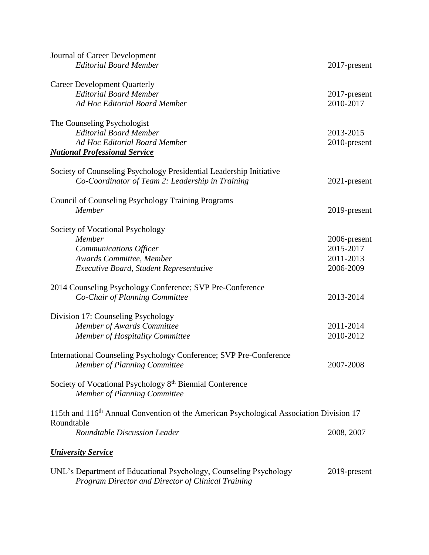| Journal of Career Development<br><b>Editorial Board Member</b>                                                          | 2017-present              |
|-------------------------------------------------------------------------------------------------------------------------|---------------------------|
| <b>Career Development Quarterly</b><br><b>Editorial Board Member</b>                                                    |                           |
| <b>Ad Hoc Editorial Board Member</b>                                                                                    | 2017-present<br>2010-2017 |
| The Counseling Psychologist<br><b>Editorial Board Member</b>                                                            | 2013-2015                 |
| Ad Hoc Editorial Board Member                                                                                           | 2010-present              |
| <b>National Professional Service</b>                                                                                    |                           |
| Society of Counseling Psychology Presidential Leadership Initiative                                                     |                           |
| Co-Coordinator of Team 2: Leadership in Training                                                                        | 2021-present              |
| <b>Council of Counseling Psychology Training Programs</b>                                                               |                           |
| Member                                                                                                                  | 2019-present              |
| Society of Vocational Psychology                                                                                        |                           |
| Member                                                                                                                  | 2006-present              |
| Communications Officer                                                                                                  | 2015-2017                 |
| Awards Committee, Member                                                                                                | 2011-2013                 |
| Executive Board, Student Representative                                                                                 | 2006-2009                 |
| 2014 Counseling Psychology Conference; SVP Pre-Conference                                                               |                           |
| Co-Chair of Planning Committee                                                                                          | 2013-2014                 |
| Division 17: Counseling Psychology                                                                                      |                           |
| Member of Awards Committee                                                                                              | 2011-2014                 |
| Member of Hospitality Committee                                                                                         | 2010-2012                 |
| International Counseling Psychology Conference; SVP Pre-Conference                                                      |                           |
| <b>Member of Planning Committee</b>                                                                                     | 2007-2008                 |
| Society of Vocational Psychology 8 <sup>th</sup> Biennial Conference<br>Member of Planning Committee                    |                           |
| 115th and 116 <sup>th</sup> Annual Convention of the American Psychological Association Division 17<br>Roundtable       |                           |
| Roundtable Discussion Leader                                                                                            | 2008, 2007                |
| <b>University Service</b>                                                                                               |                           |
| UNL's Department of Educational Psychology, Counseling Psychology<br>Program Director and Director of Clinical Training | 2019-present              |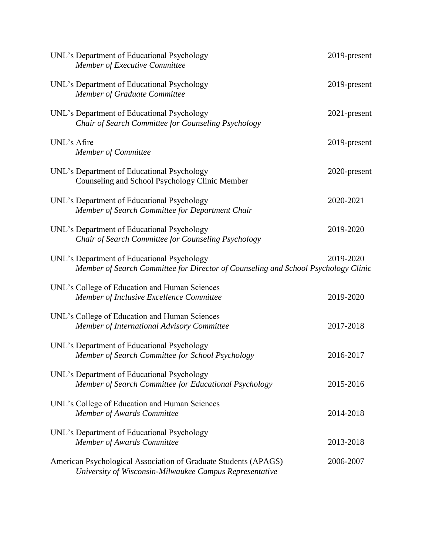| UNL's Department of Educational Psychology<br>Member of Executive Committee                                                      | 2019-present    |
|----------------------------------------------------------------------------------------------------------------------------------|-----------------|
| UNL's Department of Educational Psychology<br>Member of Graduate Committee                                                       | 2019-present    |
| UNL's Department of Educational Psychology<br>Chair of Search Committee for Counseling Psychology                                | $2021$ -present |
| UNL's Afire<br><b>Member of Committee</b>                                                                                        | 2019-present    |
| UNL's Department of Educational Psychology<br>Counseling and School Psychology Clinic Member                                     | 2020-present    |
| UNL's Department of Educational Psychology<br>Member of Search Committee for Department Chair                                    | 2020-2021       |
| UNL's Department of Educational Psychology<br>Chair of Search Committee for Counseling Psychology                                | 2019-2020       |
| UNL's Department of Educational Psychology<br>Member of Search Committee for Director of Counseling and School Psychology Clinic | 2019-2020       |
| UNL's College of Education and Human Sciences<br>Member of Inclusive Excellence Committee                                        | 2019-2020       |
| UNL's College of Education and Human Sciences<br>Member of International Advisory Committee                                      | 2017-2018       |
| UNL's Department of Educational Psychology<br>Member of Search Committee for School Psychology                                   | 2016-2017       |
| UNL's Department of Educational Psychology<br>Member of Search Committee for Educational Psychology                              | 2015-2016       |
| UNL's College of Education and Human Sciences<br>Member of Awards Committee                                                      | 2014-2018       |
| UNL's Department of Educational Psychology<br>Member of Awards Committee                                                         | 2013-2018       |
| American Psychological Association of Graduate Students (APAGS)<br>University of Wisconsin-Milwaukee Campus Representative       | 2006-2007       |